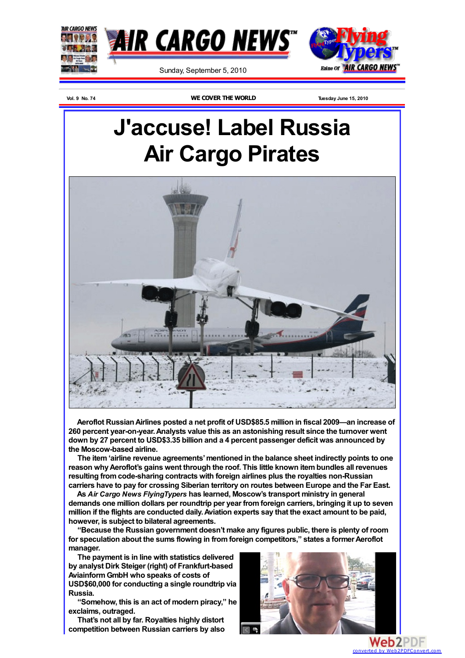

**Vol. 9 No. 74 WE COVER THE WORLD Tuesday June 15, 2010**

## **J'accuse! Label Russia Air Cargo Pirates**



**Aeroflot RussianAirlines posted a net profit of USD\$85.5 million in fiscal 2009—an increase of 260 percent year-on-year.Analysts value this as an astonishing result since the turnover went down by 27 percent to USD\$3.35 billion and a 4 percent passenger deficit was announced by the Moscow-based airline.**

**The item'airline revenue agreements'mentioned in the balance sheet indirectly points to one reason whyAeroflot's gains went through the roof. This little known itembundles all revenues resulting fromcode-sharing contracts with foreign airlines plus the royalties non-Russian carriers have to pay for crossing Siberian territory on routes between Europe and the Far East.**

**As** *Air Cargo News FlyingTypers* **has learned, Moscow's transport ministry in general demands one million dollars per roundtrip per year fromforeign carriers, bringing it up to seven million if the flights are conducted daily.Aviation experts say that the exact amount to be paid, however, is subject to bilateral agreements.**

**"Because the Russian government doesn't make any figures public, there is plenty of room for speculation about the sums flowing in fromforeign competitors," states a formerAeroflot manager.**

**The payment is in line with statistics delivered by analyst Dirk Steiger (right) of Frankfurt-based AviainformGmbH who speaks of costs of**

**USD\$60,000 for conducting a single roundtrip via Russia.**

**"Somehow, this is an act of modern piracy," he exclaims, outraged.**

**That's not all by far. Royalties highly distort competition between Russian carriers by also**



converted by Web2PDFCor

Web2PDF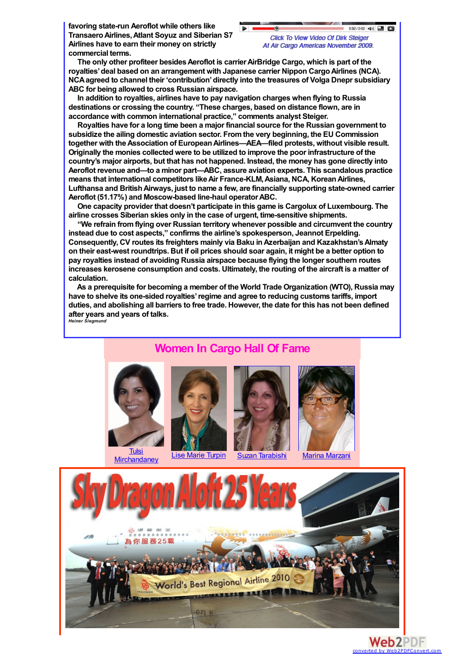**favoring state-run Aeroflot while others like TransaeroAirlines,Atlant Soyuz and Siberian S7 Airlines have to earn their money on strictly commercial terms.**

 $0.32/2.02$   $44$   $\Box$   $\Box$ 

**The only other profiteer besidesAeroflot is carrierAirBridge Cargo, which is part of the royalties'deal based on an arrangement with Japanese carrier Nippon CargoAirlines (NCA). NCAagreed to channel their 'contribution'directly into the treasures of Volga Dnepr subsidiary ABC for being allowed to cross Russian airspace.**

**In addition to royalties, airlines have to pay navigation charges when flying to Russia destinations or crossing the country. "These charges, based on distance flown, are in accordance with common international practice," comments analyst Steiger.**

**Royalties have for a long time been a major financial source for the Russian government to subsidize the ailing domestic aviation sector. Fromthe very beginning, the EU Commission together with theAssociation of EuropeanAirlines—AEA—filed protests, without visible result. Originally the monies collected were to be utilized to improve the poor infrastructure of the country's major airports, but that has not happened. Instead, the money has gone directly into Aeroflot revenue and—to a minor part—ABC, assure aviation experts. This scandalous practice means that international competitors likeAir France-KLM,Asiana, NCA, KoreanAirlines, Lufthansa and BritishAirways, just to name a few, are financially supporting state-owned carrier Aeroflot (51.17%) and Moscow-based line-haul operatorABC.**

**One capacity provider that doesn't participate in this game is Cargolux of Luxembourg. The airline crosses Siberian skies only in the case of urgent, time-sensitive shipments.**

**"We refrain fromflying over Russian territory whenever possible and circumvent the country instead due to cost aspects," confirms the airline's spokesperson, Jeannot Erpelding. Consequently, CV routes its freighters mainly via Baku inAzerbaijan and Kazakhstan'sAlmaty on their east-west roundtrips. But if oil prices should soar again, it might be a better option to pay royalties instead of avoiding Russia airspace because flying the longer southern routes increases kerosene consumption and costs. Ultimately, the routing of the aircraft is a matter of calculation.**

**As a prerequisite for becoming a member of the World Trade Organization (WTO), Russia may have to shelve its one-sided royalties'regime and agree to reducing customs tariffs, import duties, and abolishing all barriers to free trade. However, the date for this has not been defined after years and years of talks.** *Heiner Siegmund*

## **Women In Cargo Hall Of Fame**











Lise Marie [Turpin](http://www.aircargonews.com/0310/FT100308.html#lmtaircanada) Suzan [Tarabishi](http://www.aircargonews.com/AirCargoWomen/AirCargoWomen4.html) Marina [Marzani](http://www.aircargonews.com/AirCargoWomen/AirCargoWomen6.html)

converted by Web2PDFConvert

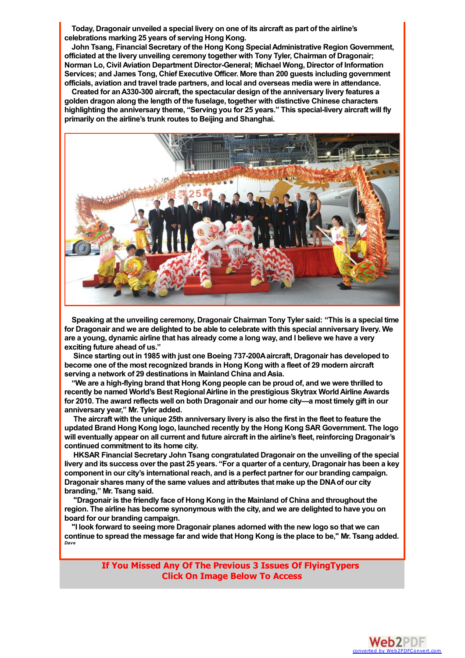**Today, Dragonair unveiled a special livery on one of its aircraft as part of the airline's celebrations marking 25 years of serving Hong Kong.**

**John Tsang, Financial Secretary of the Hong Kong SpecialAdministrative Region Government, officiated at the livery unveiling ceremony together with Tony Tyler, Chairman of Dragonair; Norman Lo, Civil Aviation Department Director-General; Michael Wong, Director of Information Services; and James Tong, Chief Executive Officer. More than 200 guests including government officials, aviation and travel trade partners, and local and overseas media were in attendance.**

**Created for anA330-300 aircraft, the spectacular design of the anniversary livery features a golden dragon along the length of the fuselage, together with distinctive Chinese characters highlighting the anniversary theme, "Serving you for 25 years." This special-livery aircraft will fly primarily on the airline's trunk routes to Beijing and Shanghai.**



**Speaking at the unveiling ceremony, Dragonair Chairman Tony Tyler said: "This is a special time for Dragonair and we are delighted to be able to celebrate with this special anniversary livery. We are a young, dynamic airline that has already come a long way, and I believe we have a very exciting future ahead of us."**

**Since starting out in 1985 with just one Boeing 737-200Aaircraft, Dragonair has developed to become one of the most recognized brands in Hong Kong with a fleet of 29 modern aircraft serving a network of 29 destinations in Mainland China andAsia.**

**"We are a high-flying brand that Hong Kong people can be proud of, and we were thrilled to recently be named World's Best RegionalAirline in the prestigious Skytrax WorldAirlineAwards for 2010. The award reflects well on both Dragonair and our home city—a most timely gift in our anniversary year," Mr. Tyler added.**

**The aircraft with the unique 25th anniversary livery is also the first in the fleet to feature the updated Brand Hong Kong logo, launched recently by the Hong Kong SAR Government. The logo will eventually appear on all current and future aircraft in the airline's fleet, reinforcing Dragonair's continued commitment to its home city.**

**HKSAR Financial Secretary John Tsang congratulated Dragonair on the unveiling of the special** livery and its success over the past 25 years. "For a quarter of a century, Dragonair has been a key **component in our city's international reach, and is a perfect partner for our branding campaign. Dragonair shares many of the same values and attributes that make up the DNAof our city branding," Mr. Tsang said.**

**"Dragonair is the friendly face of Hong Kong in the Mainland of China and throughout the region. The airline has become synonymous with the city, and we are delighted to have you on board for our branding campaign.**

**"I look forward to seeing more Dragonair planes adorned with the new logo so that we can** continue to spread the message far and wide that Hong Kong is the place to be." Mr. Tsang added. *Dave*

> **If You Missed Any Of The Previous 3 Issues Of FlyingTypers Click On Image Below To Access**